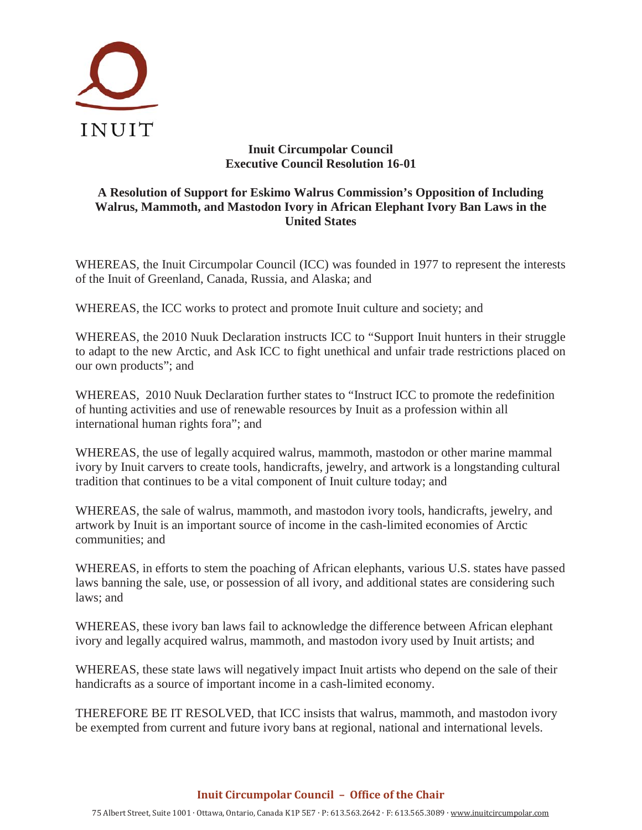

## **Inuit Circumpolar Council Executive Council Resolution 16-01**

## **A Resolution of Support for Eskimo Walrus Commission's Opposition of Including Walrus, Mammoth, and Mastodon Ivory in African Elephant Ivory Ban Laws in the United States**

WHEREAS, the Inuit Circumpolar Council (ICC) was founded in 1977 to represent the interests of the Inuit of Greenland, Canada, Russia, and Alaska; and

WHEREAS, the ICC works to protect and promote Inuit culture and society; and

WHEREAS, the 2010 Nuuk Declaration instructs ICC to "Support Inuit hunters in their struggle to adapt to the new Arctic, and Ask ICC to fight unethical and unfair trade restrictions placed on our own products"; and

WHEREAS, 2010 Nuuk Declaration further states to "Instruct ICC to promote the redefinition of hunting activities and use of renewable resources by Inuit as a profession within all international human rights fora"; and

WHEREAS, the use of legally acquired walrus, mammoth, mastodon or other marine mammal ivory by Inuit carvers to create tools, handicrafts, jewelry, and artwork is a longstanding cultural tradition that continues to be a vital component of Inuit culture today; and

WHEREAS, the sale of walrus, mammoth, and mastodon ivory tools, handicrafts, jewelry, and artwork by Inuit is an important source of income in the cash-limited economies of Arctic communities; and

WHEREAS, in efforts to stem the poaching of African elephants, various U.S. states have passed laws banning the sale, use, or possession of all ivory, and additional states are considering such laws; and

WHEREAS, these ivory ban laws fail to acknowledge the difference between African elephant ivory and legally acquired walrus, mammoth, and mastodon ivory used by Inuit artists; and

WHEREAS, these state laws will negatively impact Inuit artists who depend on the sale of their handicrafts as a source of important income in a cash-limited economy.

THEREFORE BE IT RESOLVED, that ICC insists that walrus, mammoth, and mastodon ivory be exempted from current and future ivory bans at regional, national and international levels.

## **Inuit Circumpolar Council – Office of the Chair**